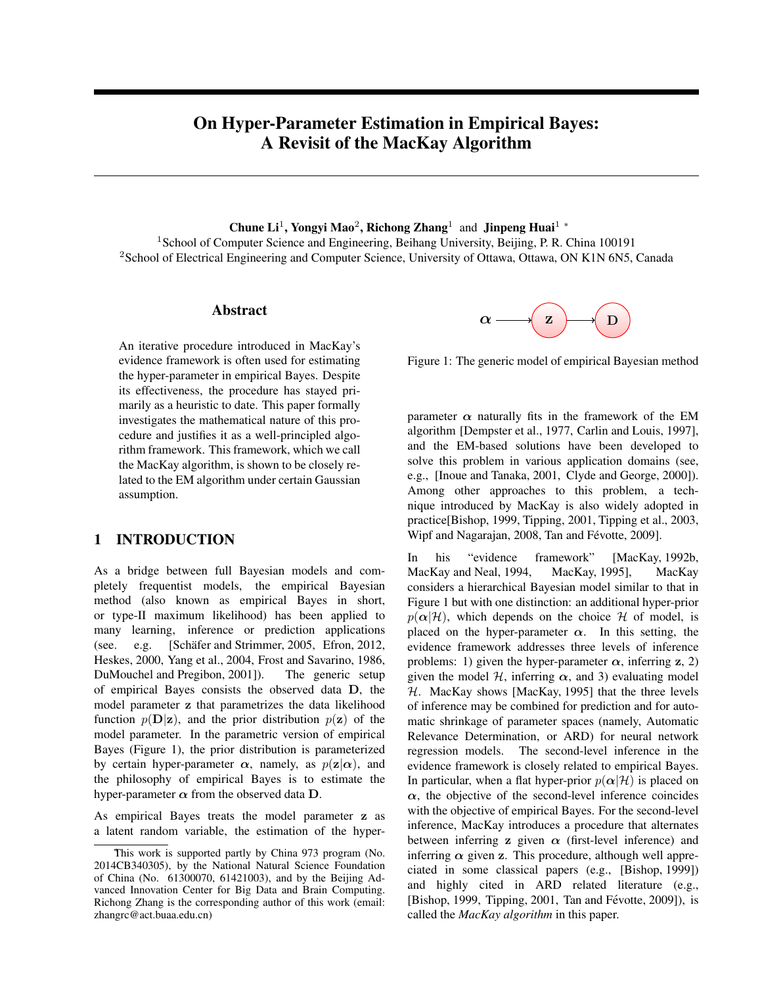# On Hyper-Parameter Estimation in Empirical Bayes: A Revisit of the MacKay Algorithm

# Chune Li<sup>1</sup>, Yongyi Mao<sup>2</sup>, Richong Zhang<sup>1</sup> and Jinpeng Huai<sup>1</sup> <sup>∗</sup>

<sup>1</sup> School of Computer Science and Engineering, Beihang University, Beijing, P. R. China 100191 <sup>2</sup>School of Electrical Engineering and Computer Science, University of Ottawa, Ottawa, ON K1N 6N5, Canada

# Abstract

An iterative procedure introduced in MacKay's evidence framework is often used for estimating the hyper-parameter in empirical Bayes. Despite its effectiveness, the procedure has stayed primarily as a heuristic to date. This paper formally investigates the mathematical nature of this procedure and justifies it as a well-principled algorithm framework. This framework, which we call the MacKay algorithm, is shown to be closely related to the EM algorithm under certain Gaussian assumption.

### 1 INTRODUCTION

As a bridge between full Bayesian models and completely frequentist models, the empirical Bayesian method (also known as empirical Bayes in short, or type-II maximum likelihood) has been applied to many learning, inference or prediction applications (see. e.g. [Schäfer and Strimmer,  $2005$ , Efron,  $2012$ , Heskes, 2000, Yang et al., 2004, Frost and Savarino, 1986, DuMouchel and Pregibon, 2001]). The generic setup of empirical Bayes consists the observed data **D**, the model parameter **z** that parametrizes the data likelihood function  $p(\mathbf{D}|\mathbf{z})$ , and the prior distribution  $p(\mathbf{z})$  of the model parameter. In the parametric version of empirical Bayes (Figure 1), the prior distribution is parameterized by certain hyper-parameter  $\alpha$ , namely, as  $p(\mathbf{z}|\alpha)$ , and the philosophy of empirical Bayes is to estimate the hyper-parameter  $\alpha$  from the observed data **D**.

As empirical Bayes treats the model parameter **z** as a latent random variable, the estimation of the hyper-



Figure 1: The generic model of empirical Bayesian method

parameter  $\alpha$  naturally fits in the framework of the EM algorithm [Dempster et al., 1977, Carlin and Louis, 1997], and the EM-based solutions have been developed to solve this problem in various application domains (see, e.g., [Inoue and Tanaka, 2001, Clyde and George, 2000]). Among other approaches to this problem, a technique introduced by MacKay is also widely adopted in practice[Bishop, 1999, Tipping, 2001, Tipping et al., 2003, Wipf and Nagarajan, 2008, Tan and Févotte, 2009].

In his "evidence framework" [MacKay, 1992b, MacKay and Neal, 1994, MacKay, 1995], MacKay considers a hierarchical Bayesian model similar to that in Figure 1 but with one distinction: an additional hyper-prior  $p(\alpha|\mathcal{H})$ , which depends on the choice  $\mathcal{H}$  of model, is placed on the hyper-parameter  $\alpha$ . In this setting, the evidence framework addresses three levels of inference problems: 1) given the hyper-parameter  $\alpha$ , inferring **z**, 2) given the model  $H$ , inferring  $\alpha$ , and 3) evaluating model *H*. MacKay shows [MacKay, 1995] that the three levels of inference may be combined for prediction and for automatic shrinkage of parameter spaces (namely, Automatic Relevance Determination, or ARD) for neural network regression models. The second-level inference in the evidence framework is closely related to empirical Bayes. In particular, when a flat hyper-prior  $p(\alpha|\mathcal{H})$  is placed on  $\alpha$ , the objective of the second-level inference coincides with the objective of empirical Bayes. For the second-level inference, MacKay introduces a procedure that alternates between inferring **z** given  $\alpha$  (first-level inference) and inferring  $\alpha$  given **z**. This procedure, although well appreciated in some classical papers (e.g., [Bishop, 1999]) and highly cited in ARD related literature (e.g., [Bishop, 1999, Tipping,  $2001$ , Tan and Févotte,  $2009$ ]), is called the *MacKay algorithm* in this paper.

This work is supported partly by China 973 program (No. 2014CB340305), by the National Natural Science Foundation of China (No. 61300070, 61421003), and by the Beijing Advanced Innovation Center for Big Data and Brain Computing. Richong Zhang is the corresponding author of this work (email: zhangrc@act.buaa.edu.cn)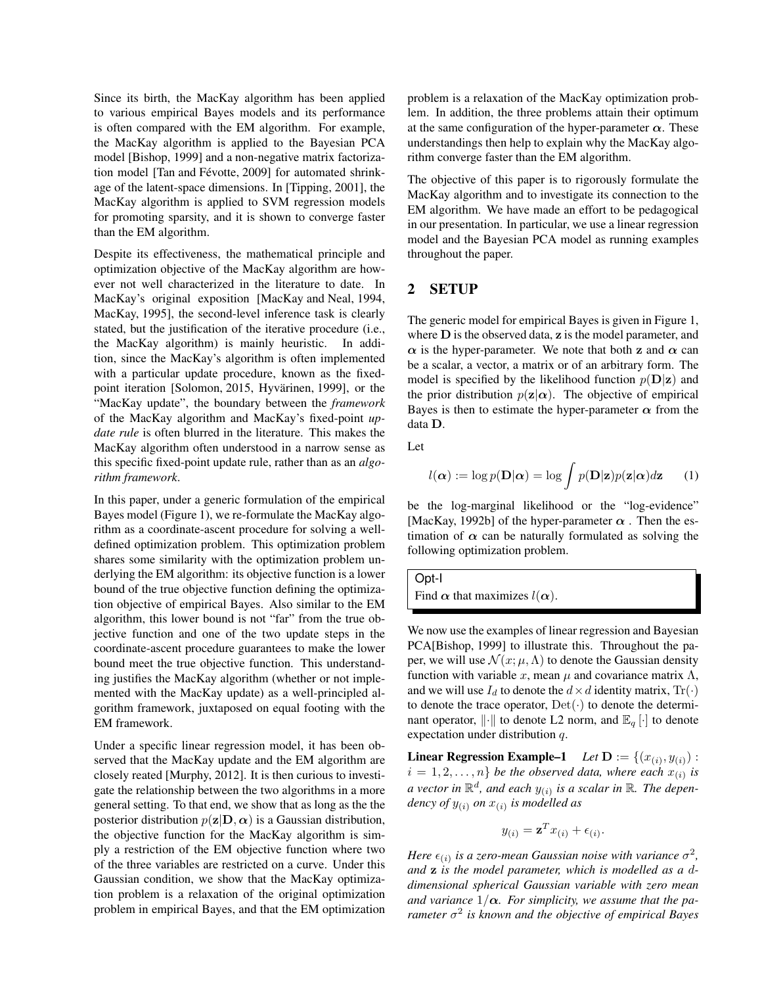Since its birth, the MacKay algorithm has been applied to various empirical Bayes models and its performance is often compared with the EM algorithm. For example, the MacKay algorithm is applied to the Bayesian PCA model [Bishop, 1999] and a non-negative matrix factorization model [Tan and Févotte, 2009] for automated shrinkage of the latent-space dimensions. In [Tipping, 2001], the MacKay algorithm is applied to SVM regression models for promoting sparsity, and it is shown to converge faster than the EM algorithm.

Despite its effectiveness, the mathematical principle and optimization objective of the MacKay algorithm are however not well characterized in the literature to date. In MacKay's original exposition [MacKay and Neal, 1994, MacKay, 1995], the second-level inference task is clearly stated, but the justification of the iterative procedure (i.e., the MacKay algorithm) is mainly heuristic. In addition, since the MacKay's algorithm is often implemented with a particular update procedure, known as the fixedpoint iteration [Solomon, 2015, Hyvärinen, 1999], or the "MacKay update", the boundary between the *framework* of the MacKay algorithm and MacKay's fixed-point *update rule* is often blurred in the literature. This makes the MacKay algorithm often understood in a narrow sense as this specific fixed-point update rule, rather than as an *algorithm framework*.

In this paper, under a generic formulation of the empirical Bayes model (Figure 1), we re-formulate the MacKay algorithm as a coordinate-ascent procedure for solving a welldefined optimization problem. This optimization problem shares some similarity with the optimization problem underlying the EM algorithm: its objective function is a lower bound of the true objective function defining the optimization objective of empirical Bayes. Also similar to the EM algorithm, this lower bound is not "far" from the true objective function and one of the two update steps in the coordinate-ascent procedure guarantees to make the lower bound meet the true objective function. This understanding justifies the MacKay algorithm (whether or not implemented with the MacKay update) as a well-principled algorithm framework, juxtaposed on equal footing with the EM framework.

Under a specific linear regression model, it has been observed that the MacKay update and the EM algorithm are closely reated [Murphy, 2012]. It is then curious to investigate the relationship between the two algorithms in a more general setting. To that end, we show that as long as the the posterior distribution  $p(\mathbf{z}|\mathbf{D}, \alpha)$  is a Gaussian distribution, the objective function for the MacKay algorithm is simply a restriction of the EM objective function where two of the three variables are restricted on a curve. Under this Gaussian condition, we show that the MacKay optimization problem is a relaxation of the original optimization problem in empirical Bayes, and that the EM optimization problem is a relaxation of the MacKay optimization problem. In addition, the three problems attain their optimum at the same configuration of the hyper-parameter  $\alpha$ . These understandings then help to explain why the MacKay algorithm converge faster than the EM algorithm.

The objective of this paper is to rigorously formulate the MacKay algorithm and to investigate its connection to the EM algorithm. We have made an effort to be pedagogical in our presentation. In particular, we use a linear regression model and the Bayesian PCA model as running examples throughout the paper.

# 2 SETUP

The generic model for empirical Bayes is given in Figure 1, where **D** is the observed data, **z** is the model parameter, and *α* is the hyper-parameter. We note that both **z** and *α* can be a scalar, a vector, a matrix or of an arbitrary form. The model is specified by the likelihood function  $p(\mathbf{D}|\mathbf{z})$  and the prior distribution  $p(\mathbf{z}|\alpha)$ . The objective of empirical Bayes is then to estimate the hyper-parameter  $\alpha$  from the data **D**.

Let

$$
l(\boldsymbol{\alpha}) := \log p(\mathbf{D}|\boldsymbol{\alpha}) = \log \int p(\mathbf{D}|\mathbf{z}) p(\mathbf{z}|\boldsymbol{\alpha}) d\mathbf{z} \qquad (1)
$$

be the log-marginal likelihood or the "log-evidence" [MacKay, 1992b] of the hyper-parameter  $\alpha$ . Then the estimation of  $\alpha$  can be naturally formulated as solving the following optimization problem.

Opt-I Find  $\alpha$  that maximizes  $l(\alpha)$ .

We now use the examples of linear regression and Bayesian PCA[Bishop, 1999] to illustrate this. Throughout the paper, we will use  $\mathcal{N}(x; \mu, \Lambda)$  to denote the Gaussian density function with variable *x*, mean  $\mu$  and covariance matrix  $\Lambda$ , and we will use  $I_d$  to denote the  $d \times d$  identity matrix,  $\text{Tr}(\cdot)$ to denote the trace operator, Det(*·*) to denote the determinant operator,  $\|\cdot\|$  to denote L2 norm, and  $\mathbb{E}_q[\cdot]$  to denote expectation under distribution *q*.

**Linear Regression Example–1** *Let*  $D := \{(x_{(i)}, y_{(i)}) :$  $i = 1, 2, \ldots, n$  *be the observed data, where each*  $x_{(i)}$  *is* a vector in  $\mathbb{R}^d$ , and each  $y_{(i)}$  is a scalar in  $\mathbb{R}$ *. The dependency of y*(*i*) *on x*(*i*) *is modelled as*

$$
y_{(i)} = \mathbf{z}^T x_{(i)} + \epsilon_{(i)}.
$$

Here  $\epsilon_{(i)}$  is a zero-mean Gaussian noise with variance  $\sigma^2$ , *and* **z** *is the model parameter, which is modelled as a ddimensional spherical Gaussian variable with zero mean* and variance  $1/\alpha$ . For simplicity, we assume that the pa*rameter σ* 2 *is known and the objective of empirical Bayes*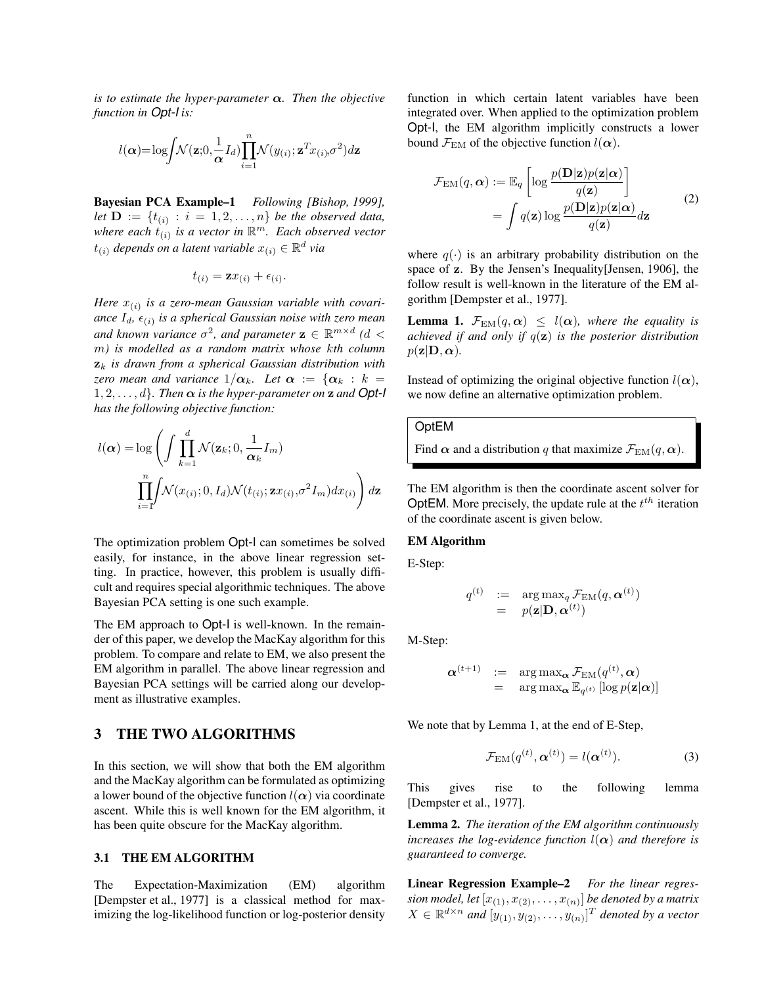*is to estimate the hyper-parameter α. Then the objective function in Opt-I is:*

$$
l(\boldsymbol{\alpha}) = \log \left( \mathcal{N}(\mathbf{z}; \mathbf{0}, \frac{1}{\boldsymbol{\alpha}} I_d) \prod_{i=1}^n \mathcal{N}(y_{(i)}; \mathbf{z}^T x_{(i)}, \sigma^2) d\mathbf{z} \right)
$$

Bayesian PCA Example–1 *Following [Bishop, 1999], let*  $D := \{t_{(i)} : i = 1, 2, ..., n\}$  *be the observed data, where each t*(*i*) *is a vector in* R *<sup>m</sup>. Each observed vector*  $t_{(i)}$  *depends on a latent variable*  $x_{(i)} \in \mathbb{R}^d$  *via* 

$$
t_{(i)} = \mathbf{z} x_{(i)} + \epsilon_{(i)}.
$$

*Here x*(*i*) *is a zero-mean Gaussian variable with covariance Id, ϵ*(*i*) *is a spherical Gaussian noise with zero mean*  $\mathcal{L}$  and known variance  $\sigma^2$ , and parameter  $\mathbf{z} \in \mathbb{R}^{m \times d}$  ( $d <$ *m) is modelled as a random matrix whose kth column* **z***<sup>k</sup> is drawn from a spherical Gaussian distribution with zero mean and variance*  $1/\alpha_k$ *. Let*  $\alpha := \{\alpha_k : k =$ 1*,* 2*, . . . , d}. Then α is the hyper-parameter on* **z** *and Opt-I has the following objective function:*

$$
l(\boldsymbol{\alpha}) = \log \left( \int \prod_{k=1}^{d} \mathcal{N}(\mathbf{z}_k; 0, \frac{1}{\boldsymbol{\alpha}_k} I_m) \right)
$$

$$
\prod_{i=1}^{n} \int \mathcal{N}(x_{(i)}; 0, I_d) \mathcal{N}(t_{(i)}; \mathbf{z} x_{(i)}, \sigma^2 I_m) dx_{(i)} \right) d\mathbf{z}
$$

The optimization problem Opt-I can sometimes be solved easily, for instance, in the above linear regression setting. In practice, however, this problem is usually difficult and requires special algorithmic techniques. The above Bayesian PCA setting is one such example.

The EM approach to Opt-I is well-known. In the remainder of this paper, we develop the MacKay algorithm for this problem. To compare and relate to EM, we also present the EM algorithm in parallel. The above linear regression and Bayesian PCA settings will be carried along our development as illustrative examples.

### 3 THE TWO ALGORITHMS

In this section, we will show that both the EM algorithm and the MacKay algorithm can be formulated as optimizing a lower bound of the objective function  $l(\alpha)$  via coordinate ascent. While this is well known for the EM algorithm, it has been quite obscure for the MacKay algorithm.

#### 3.1 THE EM ALGORITHM

The Expectation-Maximization (EM) algorithm [Dempster et al., 1977] is a classical method for maximizing the log-likelihood function or log-posterior density

function in which certain latent variables have been integrated over. When applied to the optimization problem Opt-I, the EM algorithm implicitly constructs a lower bound  $\mathcal{F}_{EM}$  of the objective function  $l(\alpha)$ .

$$
\mathcal{F}_{EM}(q, \alpha) := \mathbb{E}_q \left[ \log \frac{p(\mathbf{D}|\mathbf{z})p(\mathbf{z}|\alpha)}{q(\mathbf{z})} \right]
$$
  
= 
$$
\int q(\mathbf{z}) \log \frac{p(\mathbf{D}|\mathbf{z})p(\mathbf{z}|\alpha)}{q(\mathbf{z})} d\mathbf{z}
$$
 (2)

where  $q(\cdot)$  is an arbitrary probability distribution on the space of **z**. By the Jensen's Inequality[Jensen, 1906], the follow result is well-known in the literature of the EM algorithm [Dempster et al., 1977].

**Lemma 1.**  $\mathcal{F}_{EM}(q, \alpha) \leq l(\alpha)$ , where the equality is *achieved if and only if q*(**z**) *is the posterior distribution*  $p(\mathbf{z}|\mathbf{D}, \alpha)$ *.* 

Instead of optimizing the original objective function  $l(\alpha)$ , we now define an alternative optimization problem.

### OptEM

Find  $\alpha$  and a distribution *q* that maximize  $\mathcal{F}_{EM}(q, \alpha)$ .

The EM algorithm is then the coordinate ascent solver for OptEM. More precisely, the update rule at the *t th* iteration of the coordinate ascent is given below.

#### EM Algorithm

E-Step:

$$
\begin{array}{rcl} q^{(t)} & := & \arg\max_{q} \mathcal{F}_{\text{EM}}(q, \boldsymbol{\alpha}^{(t)}) \\ & = & p(\textbf{z}|\textbf{D}, \boldsymbol{\alpha}^{(t)}) \end{array}
$$

M-Step:

$$
\boldsymbol{\alpha}^{(t+1)} \quad := \quad \argmax_{\boldsymbol{\alpha}} \mathcal{F}_{\text{EM}}(q^{(t)}, \boldsymbol{\alpha}) \\
= \quad \argmax_{\boldsymbol{\alpha}} \mathbb{E}_{q^{(t)}} \left[ \log p(\mathbf{z}|\boldsymbol{\alpha}) \right]
$$

We note that by Lemma 1, at the end of E-Step,

$$
\mathcal{F}_{EM}(q^{(t)}, \boldsymbol{\alpha}^{(t)}) = l(\boldsymbol{\alpha}^{(t)}).
$$
 (3)

This gives rise to the following lemma [Dempster et al., 1977].

Lemma 2. *The iteration of the EM algorithm continuously increases the log-evidence function*  $l(\alpha)$  *and therefore is guaranteed to converge.*

Linear Regression Example–2 *For the linear regres-* $\mathit{sion\ model},$  let  $[x_{(1)}, x_{(2)}, \ldots, x_{(n)}]$  be denoted by a matrix  $X \in \mathbb{R}^{d \times n}$  and  $[y_{(1)}, y_{(2)}, \ldots, y_{(n)}]^T$  denoted by a vector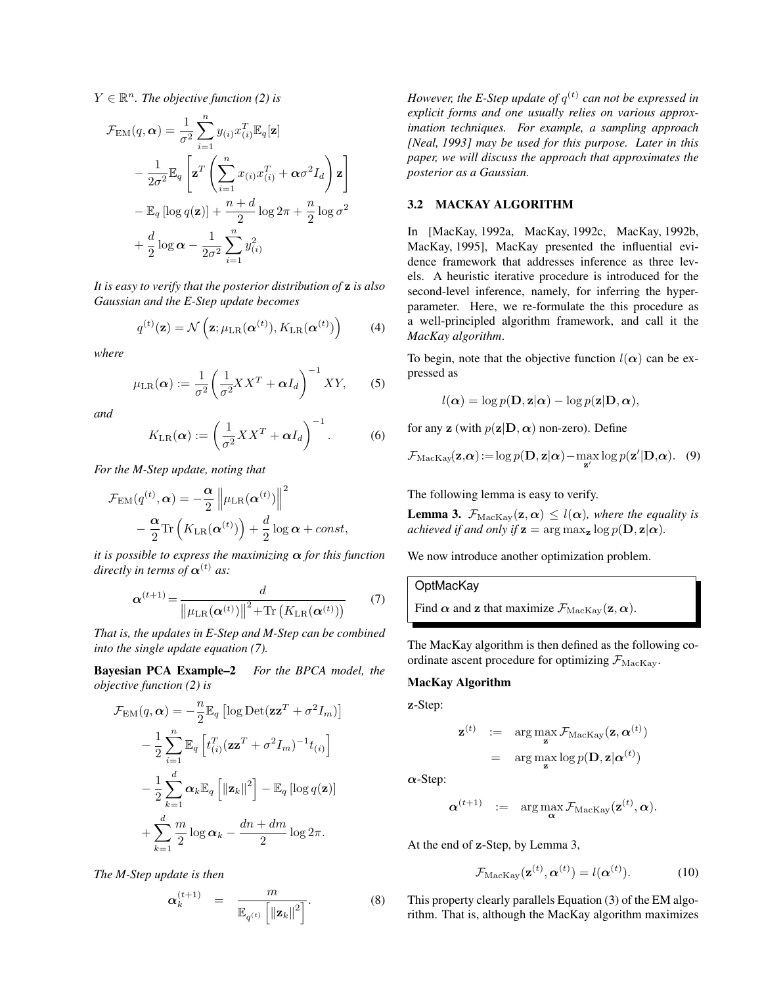$Y \in \mathbb{R}^n$ . The objective function (2) is

$$
\mathcal{F}_{EM}(q, \alpha) = \frac{1}{\sigma^2} \sum_{i=1}^n y_{(i)} x_{(i)}^T \mathbb{E}_q[\mathbf{z}]
$$
  
- 
$$
\frac{1}{2\sigma^2} \mathbb{E}_q \left[ \mathbf{z}^T \left( \sum_{i=1}^n x_{(i)} x_{(i)}^T + \alpha \sigma^2 I_d \right) \mathbf{z} \right]
$$
  
- 
$$
\mathbb{E}_q \left[ \log q(\mathbf{z}) \right] + \frac{n+d}{2} \log 2\pi + \frac{n}{2} \log \sigma^2
$$
  
+ 
$$
\frac{d}{2} \log \alpha - \frac{1}{2\sigma^2} \sum_{i=1}^n y_{(i)}^2
$$

*It is easy to verify that the posterior distribution of* **z** *is also Gaussian and the E-Step update becomes*

$$
q^{(t)}(\mathbf{z}) = \mathcal{N}\left(\mathbf{z}; \mu_{\text{LR}}(\boldsymbol{\alpha}^{(t)}), K_{\text{LR}}(\boldsymbol{\alpha}^{(t)})\right)
$$
(4)

*where*

$$
\mu_{LR}(\alpha) := \frac{1}{\sigma^2} \left( \frac{1}{\sigma^2} X X^T + \alpha I_d \right)^{-1} XY, \qquad (5)
$$

*and*

$$
K_{\text{LR}}(\alpha) := \left(\frac{1}{\sigma^2} X X^T + \alpha I_d\right)^{-1}.
$$
 (6)

*For the M-Step update, noting that*

$$
\mathcal{F}_{EM}(q^{(t)}, \alpha) = -\frac{\alpha}{2} \left\| \mu_{LR}(\alpha^{(t)}) \right\|^2 - \frac{\alpha}{2} \text{Tr} \left( K_{LR}(\alpha^{(t)}) \right) + \frac{d}{2} \log \alpha + const,
$$

*it is possible to express the maximizing α for this function directly in terms of*  $\alpha^{(t)}$  *as:* 

$$
\boldsymbol{\alpha}^{(t+1)} = \frac{d}{\left\| \mu_{\text{LR}}(\boldsymbol{\alpha}^{(t)}) \right\|^2 + \text{Tr}\left(K_{\text{LR}}(\boldsymbol{\alpha}^{(t)})\right)}\tag{7}
$$

*That is, the updates in E-Step and M-Step can be combined into the single update equation (7).*

Bayesian PCA Example–2 *For the BPCA model, the objective function (2) is*

$$
\mathcal{F}_{EM}(q, \alpha) = -\frac{n}{2} \mathbb{E}_q \left[ \log \text{Det}(\mathbf{z} \mathbf{z}^T + \sigma^2 I_m) \right]
$$

$$
- \frac{1}{2} \sum_{i=1}^n \mathbb{E}_q \left[ t_{(i)}^T (\mathbf{z} \mathbf{z}^T + \sigma^2 I_m)^{-1} t_{(i)} \right]
$$

$$
- \frac{1}{2} \sum_{k=1}^d \alpha_k \mathbb{E}_q \left[ \|\mathbf{z}_k\|^2 \right] - \mathbb{E}_q \left[ \log q(\mathbf{z}) \right]
$$

$$
+ \sum_{k=1}^d \frac{m}{2} \log \alpha_k - \frac{dn + dm}{2} \log 2\pi.
$$

*The M-Step update is then*

$$
\boldsymbol{\alpha}^{(t+1)}_k \hspace{2mm} = \hspace{2mm} \frac{m}{\mathbb{E}_{q^{(t)}}\left[\left\|\mathbf{z}_k\right\|^2\right]}.
$$

*However, the E-Step update of*  $q^{(t)}$  can not be expressed in *explicit forms and one usually relies on various approximation techniques. For example, a sampling approach [Neal, 1993] may be used for this purpose. Later in this paper, we will discuss the approach that approximates the posterior as a Gaussian.*

### 3.2 MACKAY ALGORITHM

In [MacKay, 1992a, MacKay, 1992c, MacKay, 1992b, MacKay, 1995], MacKay presented the influential evidence framework that addresses inference as three levels. A heuristic iterative procedure is introduced for the second-level inference, namely, for inferring the hyperparameter. Here, we re-formulate the this procedure as a well-principled algorithm framework, and call it the *MacKay algorithm*.

To begin, note that the objective function  $l(\alpha)$  can be expressed as

$$
l(\boldsymbol{\alpha}) = \log p(\mathbf{D}, \mathbf{z}|\boldsymbol{\alpha}) - \log p(\mathbf{z}|\mathbf{D}, \boldsymbol{\alpha}),
$$

for any **z** (with  $p(\mathbf{z}|\mathbf{D}, \alpha)$  non-zero). Define

$$
\mathcal{F}_{\text{MacKay}}(\mathbf{z}, \alpha) := \log p(\mathbf{D}, \mathbf{z} | \alpha) - \max_{\mathbf{z}'} \log p(\mathbf{z}' | \mathbf{D}, \alpha). \quad (9)
$$

The following lemma is easy to verify.

**Lemma 3.**  $\mathcal{F}_{\text{MacKav}}(\mathbf{z}, \alpha) \leq l(\alpha)$ , where the equality is *achieved if and only if*  $z = arg max_z log p(D, z | \alpha)$ *.* 

We now introduce another optimization problem.

**OptMacKay** Find  $\alpha$  and **z** that maximize  $\mathcal{F}_{\text{MacKay}}(\mathbf{z}, \alpha)$ .

The MacKay algorithm is then defined as the following coordinate ascent procedure for optimizing  $\mathcal{F}_{\text{MacKav}}$ .

#### MacKay Algorithm

**z**-Step:

$$
\mathbf{z}^{(t)} \quad := \quad \arg\max_{\mathbf{z}} \mathcal{F}_{\text{MacKay}}(\mathbf{z}, \boldsymbol{\alpha}^{(t)})
$$
\n
$$
= \quad \arg\max_{\mathbf{z}} \log p(\mathbf{D}, \mathbf{z} | \boldsymbol{\alpha}^{(t)})
$$

*α*-Step:

] *.* (8)

$$
\boldsymbol{\alpha}^{(t+1)} \hspace{2mm} := \hspace{2mm} \arg \max_{\boldsymbol{\alpha}} \mathcal{F}_{\text{MacKay}}(\mathbf{z}^{(t)}, \boldsymbol{\alpha}).
$$

At the end of **z**-Step, by Lemma 3,

$$
\mathcal{F}_{\text{MacKay}}(\mathbf{z}^{(t)}, \boldsymbol{\alpha}^{(t)}) = l(\boldsymbol{\alpha}^{(t)}).
$$
 (10)

This property clearly parallels Equation (3) of the EM algorithm. That is, although the MacKay algorithm maximizes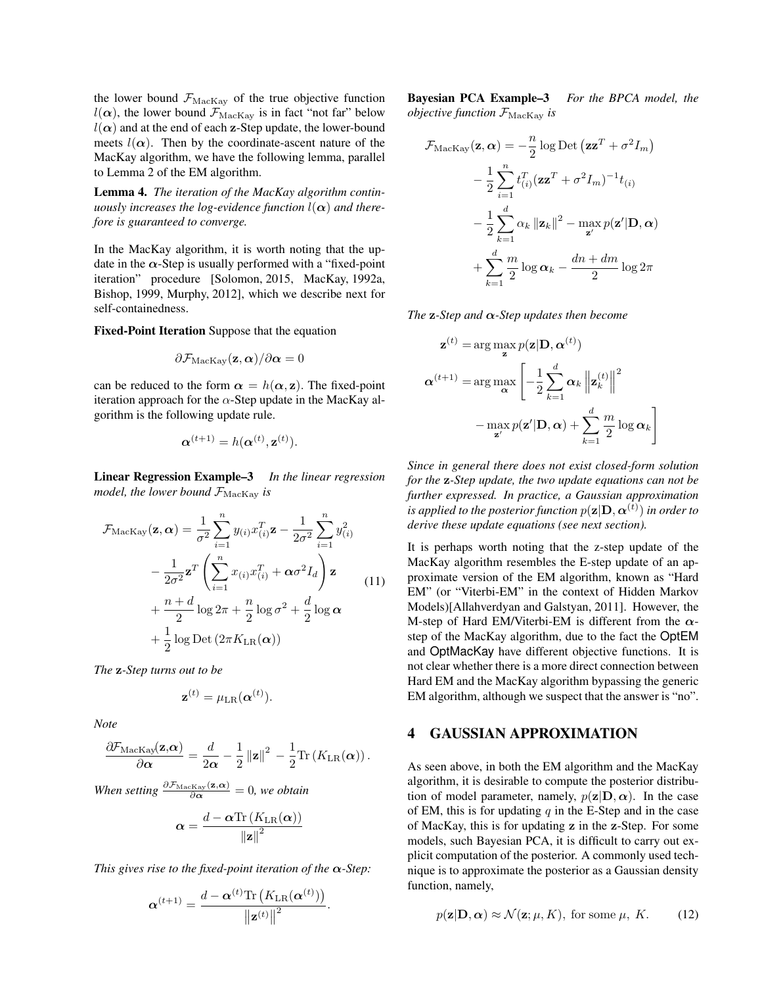the lower bound  $F_{\text{MacKay}}$  of the true objective function  $l(\alpha)$ , the lower bound  $\mathcal{F}_{\text{MacKay}}$  is in fact "not far" below  $l(\alpha)$  and at the end of each **z**-Step update, the lower-bound meets  $l(\alpha)$ . Then by the coordinate-ascent nature of the MacKay algorithm, we have the following lemma, parallel to Lemma 2 of the EM algorithm.

Lemma 4. *The iteration of the MacKay algorithm continuously increases the log-evidence function*  $l(\alpha)$  *and therefore is guaranteed to converge.*

In the MacKay algorithm, it is worth noting that the update in the  $\alpha$ -Step is usually performed with a "fixed-point" iteration" procedure [Solomon, 2015, MacKay, 1992a, Bishop, 1999, Murphy, 2012], which we describe next for self-containedness.

Fixed-Point Iteration Suppose that the equation

$$
\partial \mathcal{F}_{\text{MacKay}}(\mathbf{z},\boldsymbol{\alpha})/\partial \boldsymbol{\alpha} = 0
$$

can be reduced to the form  $\alpha = h(\alpha, \mathbf{z})$ . The fixed-point iteration approach for the  $\alpha$ -Step update in the MacKay algorithm is the following update rule.

$$
\boldsymbol{\alpha}^{(t+1)} = h(\boldsymbol{\alpha}^{(t)}, \mathbf{z}^{(t)}).
$$

Linear Regression Example–3 *In the linear regression model, the lower bound*  $\mathcal{F}_{\text{MacKay}}$  *is* 

$$
\mathcal{F}_{\text{MacKay}}(\mathbf{z}, \boldsymbol{\alpha}) = \frac{1}{\sigma^2} \sum_{i=1}^n y_{(i)} x_{(i)}^T \mathbf{z} - \frac{1}{2\sigma^2} \sum_{i=1}^n y_{(i)}^2
$$

$$
- \frac{1}{2\sigma^2} \mathbf{z}^T \left( \sum_{i=1}^n x_{(i)} x_{(i)}^T + \boldsymbol{\alpha} \sigma^2 I_d \right) \mathbf{z}
$$

$$
+ \frac{n+d}{2} \log 2\pi + \frac{n}{2} \log \sigma^2 + \frac{d}{2} \log \boldsymbol{\alpha}
$$

$$
+ \frac{1}{2} \log \text{Det} (2\pi K_{\text{LR}}(\boldsymbol{\alpha}))
$$
(11)

*The* **z***-Step turns out to be*

$$
\mathbf{z}^{(t)} = \mu_{\text{LR}}(\boldsymbol{\alpha}^{(t)}).
$$

*Note*

$$
\frac{\partial \mathcal{F}_{\text{MacKay}}(\mathbf{z}, \boldsymbol{\alpha})}{\partial \boldsymbol{\alpha}} = \frac{d}{2\boldsymbol{\alpha}} - \frac{1}{2} ||\mathbf{z}||^2 - \frac{1}{2} \text{Tr} \left( K_{\text{LR}}(\boldsymbol{\alpha}) \right).
$$

*When setting*  $\frac{\partial \mathcal{F}_{\text{MacKay}}(\mathbf{z}, \alpha)}{\partial \alpha} = 0$ *, we obtain* 

$$
\boldsymbol{\alpha} = \frac{d - \boldsymbol{\alpha}\text{Tr}\left(K_{\text{LR}}(\boldsymbol{\alpha})\right)}{\left\|\mathbf{z}\right\|^2}
$$

*This gives rise to the fixed-point iteration of the α-Step:*

$$
\boldsymbol{\alpha}^{(t+1)} = \frac{d - \boldsymbol{\alpha}^{(t)} \text{Tr}\left(K_{\text{LR}}(\boldsymbol{\alpha}^{(t)})\right)}{\left\|\mathbf{z}^{(t)}\right\|^2}.
$$

Bayesian PCA Example–3 *For the BPCA model, the objective function*  $\mathcal{F}_{\text{MacKav}}$  *is* 

$$
\mathcal{F}_{\text{MacKay}}(\mathbf{z}, \boldsymbol{\alpha}) = -\frac{n}{2} \log \text{Det} (\mathbf{z} \mathbf{z}^T + \sigma^2 I_m)
$$

$$
-\frac{1}{2} \sum_{i=1}^n t_{(i)}^T (\mathbf{z} \mathbf{z}^T + \sigma^2 I_m)^{-1} t_{(i)}
$$

$$
-\frac{1}{2} \sum_{k=1}^d \alpha_k ||\mathbf{z}_k||^2 - \max_{\mathbf{z}'} p(\mathbf{z}'|\mathbf{D}, \boldsymbol{\alpha})
$$

$$
+\sum_{k=1}^d \frac{m}{2} \log \alpha_k - \frac{dn + dm}{2} \log 2\pi
$$

*The* **z***-Step and α-Step updates then become*

$$
\mathbf{z}^{(t)} = \arg \max_{\mathbf{z}} p(\mathbf{z}|\mathbf{D}, \alpha^{(t)})
$$

$$
\alpha^{(t+1)} = \arg \max_{\mathbf{\alpha}} \left[ -\frac{1}{2} \sum_{k=1}^{d} \alpha_k \left\| \mathbf{z}_k^{(t)} \right\|^2 - \max_{\mathbf{z}'} p(\mathbf{z}'|\mathbf{D}, \alpha) + \sum_{k=1}^{d} \frac{m}{2} \log \alpha_k \right]
$$

*Since in general there does not exist closed-form solution for the* **z***-Step update, the two update equations can not be further expressed. In practice, a Gaussian approximation*  $i$ *s applied to the posterior function*  $p(\mathbf{z}|\mathbf{D}, \boldsymbol{\alpha}^{(t)})$  *<i>in order to derive these update equations (see next section).*

It is perhaps worth noting that the z-step update of the MacKay algorithm resembles the E-step update of an approximate version of the EM algorithm, known as "Hard EM" (or "Viterbi-EM" in the context of Hidden Markov Models)[Allahverdyan and Galstyan, 2011]. However, the M-step of Hard EM/Viterbi-EM is different from the *α*step of the MacKay algorithm, due to the fact the OptEM and OptMacKay have different objective functions. It is not clear whether there is a more direct connection between Hard EM and the MacKay algorithm bypassing the generic EM algorithm, although we suspect that the answer is "no".

# 4 GAUSSIAN APPROXIMATION

As seen above, in both the EM algorithm and the MacKay algorithm, it is desirable to compute the posterior distribution of model parameter, namely,  $p(\mathbf{z}|\mathbf{D}, \alpha)$ . In the case of EM, this is for updating *q* in the E-Step and in the case of MacKay, this is for updating **z** in the **z**-Step. For some models, such Bayesian PCA, it is difficult to carry out explicit computation of the posterior. A commonly used technique is to approximate the posterior as a Gaussian density function, namely,

$$
p(\mathbf{z}|\mathbf{D}, \alpha) \approx \mathcal{N}(\mathbf{z}; \mu, K)
$$
, for some  $\mu$ ,  $K$ . (12)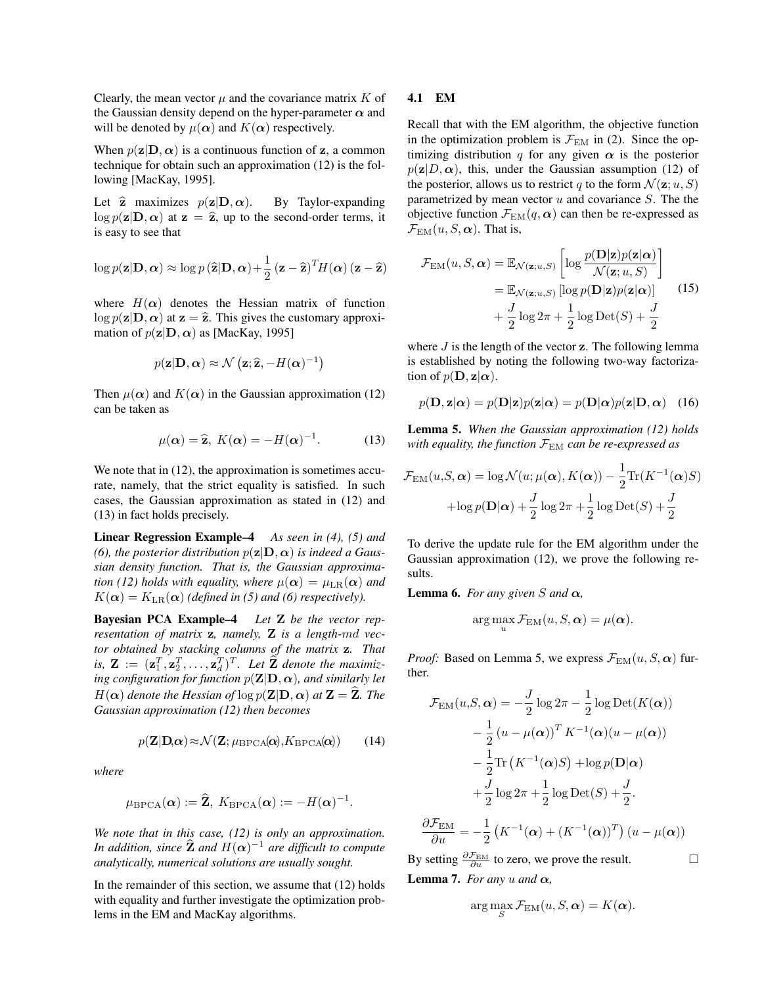Clearly, the mean vector  $\mu$  and the covariance matrix  $K$  of the Gaussian density depend on the hyper-parameter  $\alpha$  and will be denoted by  $\mu(\alpha)$  and  $K(\alpha)$  respectively.

When  $p(\mathbf{z}|\mathbf{D}, \alpha)$  is a continuous function of **z**, a common technique for obtain such an approximation (12) is the following [MacKay, 1995].

Let  $\hat{z}$  maximizes  $p(z|\mathbf{D}, \alpha)$ . By Taylor-expanding  $\log p(\mathbf{z}|\mathbf{D}, \alpha)$  at  $\mathbf{z} = \hat{\mathbf{z}}$ , up to the second-order terms, it is easy to see that

$$
\log p(\mathbf{z}|\mathbf{D}, \boldsymbol{\alpha}) \approx \log p(\widehat{\mathbf{z}}|\mathbf{D}, \boldsymbol{\alpha}) + \frac{1}{2} (\mathbf{z} - \widehat{\mathbf{z}})^T H(\boldsymbol{\alpha}) (\mathbf{z} - \widehat{\mathbf{z}})
$$

where  $H(\alpha)$  denotes the Hessian matrix of function  $\log p(\mathbf{z}|\mathbf{D}, \alpha)$  at  $\mathbf{z} = \hat{\mathbf{z}}$ . This gives the customary approximation of  $p(\mathbf{z}|\mathbf{D}, \alpha)$  as [MacKay, 1995]

$$
p(\mathbf{z}|\mathbf{D}, \boldsymbol{\alpha}) \approx \mathcal{N}(\mathbf{z}; \widehat{\mathbf{z}}, -H(\boldsymbol{\alpha})^{-1})
$$

Then  $\mu(\alpha)$  and  $K(\alpha)$  in the Gaussian approximation (12) can be taken as

$$
\mu(\alpha) = \widehat{\mathbf{z}}, \ K(\alpha) = -H(\alpha)^{-1}.
$$
 (13)

We note that in  $(12)$ , the approximation is sometimes accurate, namely, that the strict equality is satisfied. In such cases, the Gaussian approximation as stated in (12) and (13) in fact holds precisely.

Linear Regression Example–4 *As seen in (4), (5) and (6), the posterior distribution*  $p(\mathbf{z}|\mathbf{D}, \alpha)$  *is indeed a Gaussian density function. That is, the Gaussian approximation* (12) holds with equality, where  $\mu(\alpha) = \mu_{LR}(\alpha)$  and  $K(\alpha) = K_{LR}(\alpha)$  *(defined in (5) and (6) respectively).* 

Bayesian PCA Example–4 *Let* **Z** *be the vector representation of matrix* **z***, namely,* **Z** *is a length-md vector obtained by stacking columns of the matrix* **z***. That is,*  $\mathbf{Z} := (\mathbf{z}_1^T, \mathbf{z}_2^T, \dots, \mathbf{z}_d^T)^T$ . Let  $\widehat{\mathbf{Z}}$  denote the maximiz*ing configuration for function*  $p(\mathbf{Z}|\mathbf{D}, \alpha)$ *, and similarly let H*( $\alpha$ ) *denote the Hessian of* log  $p(\mathbf{Z}|\mathbf{D}, \alpha)$  *at*  $\mathbf{Z} = \hat{\mathbf{Z}}$ *. The Gaussian approximation (12) then becomes*

$$
p(\mathbf{Z}|\mathbf{D},\alpha) \approx \mathcal{N}(\mathbf{Z};\mu_{\text{BPCA}}(\alpha),K_{\text{BPCA}}(\alpha))
$$
 (14)

*where*

$$
\mu_{\rm BPCA}(\boldsymbol{\alpha}) := \widehat{\mathbf{Z}}, \ K_{\rm BPCA}(\boldsymbol{\alpha}) := -H(\boldsymbol{\alpha})^{-1}.
$$

*We note that in this case, (12) is only an approximation. In addition, since*  $\hat{\mathbf{Z}}$  *and*  $H(\boldsymbol{\alpha})^{-1}$  *are difficult to compute analytically, numerical solutions are usually sought.*

In the remainder of this section, we assume that (12) holds with equality and further investigate the optimization problems in the EM and MacKay algorithms.

#### 4.1 EM

Recall that with the EM algorithm, the objective function in the optimization problem is  $\mathcal{F}_{EM}$  in (2). Since the optimizing distribution *q* for any given  $\alpha$  is the posterior  $p(\mathbf{z}|D, \alpha)$ , this, under the Gaussian assumption (12) of the posterior, allows us to restrict *q* to the form  $\mathcal{N}(\mathbf{z}; u, S)$ parametrized by mean vector *u* and covariance *S*. The the objective function  $\mathcal{F}_{EM}(q, \alpha)$  can then be re-expressed as  $\mathcal{F}_{EM}(u, S, \alpha)$ . That is,

$$
\mathcal{F}_{\text{EM}}(u, S, \alpha) = \mathbb{E}_{\mathcal{N}(\mathbf{z}; u, S)} \left[ \log \frac{p(\mathbf{D}|\mathbf{z})p(\mathbf{z}|\alpha)}{\mathcal{N}(\mathbf{z}; u, S)} \right]
$$

$$
= \mathbb{E}_{\mathcal{N}(\mathbf{z}; u, S)} \left[ \log p(\mathbf{D}|\mathbf{z})p(\mathbf{z}|\alpha) \right]
$$

$$
+ \frac{J}{2} \log 2\pi + \frac{1}{2} \log \text{Det}(S) + \frac{J}{2}
$$
(15)

where *J* is the length of the vector **z**. The following lemma is established by noting the following two-way factorization of  $p(\mathbf{D}, \mathbf{z}|\alpha)$ .

$$
p(\mathbf{D}, \mathbf{z}|\alpha) = p(\mathbf{D}|\mathbf{z})p(\mathbf{z}|\alpha) = p(\mathbf{D}|\alpha)p(\mathbf{z}|\mathbf{D}, \alpha) \quad (16)
$$

Lemma 5. *When the Gaussian approximation (12) holds with equality, the function*  $\mathcal{F}_{EM}$  *can be re-expressed as* 

$$
\mathcal{F}_{EM}(u, S, \alpha) = \log \mathcal{N}(u; \mu(\alpha), K(\alpha)) - \frac{1}{2} \text{Tr}(K^{-1}(\alpha)S)
$$

$$
+ \log p(\mathbf{D}|\alpha) + \frac{J}{2} \log 2\pi + \frac{1}{2} \log \text{Det}(S) + \frac{J}{2}
$$

To derive the update rule for the EM algorithm under the Gaussian approximation (12), we prove the following results.

**Lemma 6.** *For any given S and*  $\alpha$ *,* 

$$
\arg\max_{u} \mathcal{F}_{\text{EM}}(u, S, \boldsymbol{\alpha}) = \mu(\boldsymbol{\alpha}).
$$

*Proof:* Based on Lemma 5, we express  $\mathcal{F}_{EM}(u, S, \alpha)$  further.

$$
\mathcal{F}_{\text{EM}}(u, S, \alpha) = -\frac{J}{2} \log 2\pi - \frac{1}{2} \log \text{Det}(K(\alpha))
$$

$$
-\frac{1}{2} (u - \mu(\alpha))^T K^{-1}(\alpha)(u - \mu(\alpha))
$$

$$
-\frac{1}{2} \text{Tr}(K^{-1}(\alpha)S) + \log p(\mathbf{D}|\alpha)
$$

$$
+\frac{J}{2} \log 2\pi + \frac{1}{2} \log \text{Det}(S) + \frac{J}{2}.
$$

$$
\frac{\partial \mathcal{F}_{\text{EM}}}{\partial u} = -\frac{1}{2} (K^{-1}(\alpha) + (K^{-1}(\alpha))^T) (u - \mu(\alpha))
$$

By setting  $\frac{\partial \mathcal{F}_{\text{EM}}}{\partial u}$  to zero, we prove the result. □ **Lemma 7.** *For any*  $u$  *and*  $\alpha$ *,* 

$$
\sqcup
$$

$$
\arg\max_{S} \mathcal{F}_{\text{EM}}(u, S, \boldsymbol{\alpha}) = K(\boldsymbol{\alpha}).
$$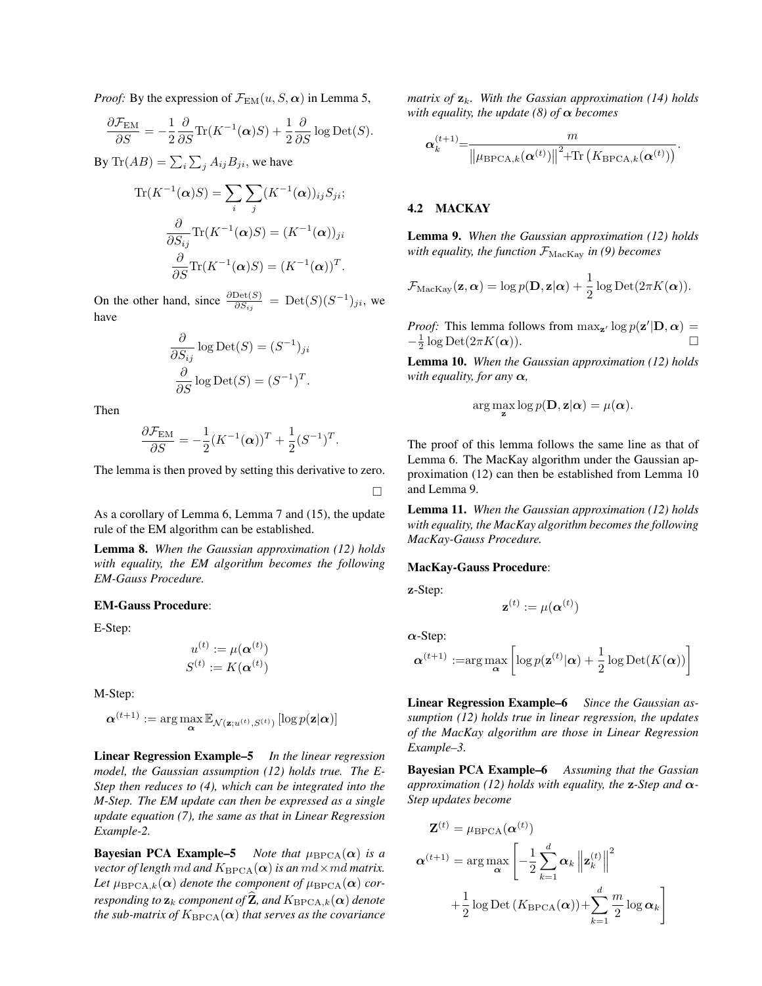*Proof:* By the expression of  $\mathcal{F}_{EM}(u, S, \alpha)$  in Lemma 5,

$$
\frac{\partial \mathcal{F}_{\text{EM}}}{\partial S} = -\frac{1}{2} \frac{\partial}{\partial S} \text{Tr}(K^{-1}(\boldsymbol{\alpha})S) + \frac{1}{2} \frac{\partial}{\partial S} \log \text{Det}(S).
$$

By  $\text{Tr}(AB) = \sum_{i} \sum_{j} A_{ij} B_{ji}$ , we have

$$
\text{Tr}(K^{-1}(\alpha)S) = \sum_{i} \sum_{j} (K^{-1}(\alpha))_{ij} S_{ji};
$$

$$
\frac{\partial}{\partial S_{ij}} \text{Tr}(K^{-1}(\alpha)S) = (K^{-1}(\alpha))_{ji}
$$

$$
\frac{\partial}{\partial S} \text{Tr}(K^{-1}(\alpha)S) = (K^{-1}(\alpha))^T.
$$

On the other hand, since  $\frac{\partial \text{Det}(S)}{\partial S_{ij}}$  = Det $(S)(S^{-1})_{ji}$ , we have

$$
\frac{\partial}{\partial S_{ij}} \log \text{Det}(S) = (S^{-1})_{ji}
$$

$$
\frac{\partial}{\partial S} \log \text{Det}(S) = (S^{-1})^T.
$$

Then

$$
\frac{\partial \mathcal{F}_{EM}}{\partial S} = -\frac{1}{2} (K^{-1}(\boldsymbol{\alpha}))^T + \frac{1}{2} (S^{-1})^T.
$$

The lemma is then proved by setting this derivative to zero.

□

As a corollary of Lemma 6, Lemma 7 and (15), the update rule of the EM algorithm can be established.

Lemma 8. *When the Gaussian approximation (12) holds with equality, the EM algorithm becomes the following EM-Gauss Procedure.*

#### EM-Gauss Procedure:

E-Step:

$$
u^{(t)} := \mu(\boldsymbol{\alpha}^{(t)})
$$

$$
S^{(t)} := K(\boldsymbol{\alpha}^{(t)})
$$

M-Step:

$$
\boldsymbol{\alpha}^{(t+1)} := \arg\max_{\boldsymbol{\alpha}} \mathbb{E}_{\mathcal{N}(\mathbf{z};u^{(t)},S^{(t)})} \left[ \log p(\mathbf{z}|\boldsymbol{\alpha}) \right]
$$

Linear Regression Example–5 *In the linear regression model, the Gaussian assumption (12) holds true. The E-Step then reduces to (4), which can be integrated into the M-Step. The EM update can then be expressed as a single update equation (7), the same as that in Linear Regression Example-2.*

**Bayesian PCA Example–5** *Note that*  $\mu_{\text{BPCA}}(\alpha)$  *is a vector of length md and*  $K_{\text{BPCA}}(\alpha)$  *is an*  $md \times md$  *matrix.* Let  $\mu_{\text{BPCA},k}(\alpha)$  denote the component of  $\mu_{\text{BPCA}}(\alpha)$  cor*responding to*  $\mathbf{z}_k$  *component of*  $\hat{\mathbf{Z}}$ *, and*  $K_{\text{BPCA},k}(\alpha)$  *denote the sub-matrix of*  $K_{\text{BPCA}}(\alpha)$  *that serves as the covariance* 

*matrix of* **z***k. With the Gassian approximation (14) holds with equality, the update (8) of α becomes*

$$
\boldsymbol{\alpha}^{(t+1)}_k \!\!=\!\! \frac{m}{\left\lVert \mu_{\mathrm{BPCA},k}(\boldsymbol{\alpha}^{(t)}) \right\rVert^2 \!\!+\!\!\mathrm{Tr}\left(K_{\mathrm{BPCA},k}(\boldsymbol{\alpha}^{(t)})\right)}.
$$

# 4.2 MACKAY

Lemma 9. *When the Gaussian approximation (12) holds with equality, the function*  $\mathcal{F}_{\text{MacKay}}$  *in* (9) *becomes* 

$$
\mathcal{F}_{\text{MacKay}}(\mathbf{z}, \boldsymbol{\alpha}) = \log p(\mathbf{D}, \mathbf{z} | \boldsymbol{\alpha}) + \frac{1}{2} \log \text{Det}(2\pi K(\boldsymbol{\alpha})).
$$

*Proof:* This lemma follows from  $\max_{\mathbf{z}'} \log p(\mathbf{z'}|\mathbf{D}, \alpha) =$  $-\frac{1}{2}\log \text{Det}(2\pi K(\boldsymbol{\alpha}))$ . □

Lemma 10. *When the Gaussian approximation (12) holds with equality, for any*  $\alpha$ *,* 

$$
\arg\max_{\mathbf{z}}\log p(\mathbf{D}, \mathbf{z}|\boldsymbol{\alpha}) = \mu(\boldsymbol{\alpha}).
$$

The proof of this lemma follows the same line as that of Lemma 6. The MacKay algorithm under the Gaussian approximation (12) can then be established from Lemma 10 and Lemma 9.

Lemma 11. *When the Gaussian approximation (12) holds with equality, the MacKay algorithm becomes the following MacKay-Gauss Procedure.*

#### MacKay-Gauss Procedure:

**z**-Step:

$$
\mathbf{z}^{(t)} := \mu(\boldsymbol{\alpha}^{(t)})
$$

*α*-Step:

$$
\boldsymbol{\alpha}^{(t+1)} := \arg \max_{\boldsymbol{\alpha}} \left[ \log p(\mathbf{z}^{(t)} | \boldsymbol{\alpha}) + \frac{1}{2} \log \mathrm{Det}(K(\boldsymbol{\alpha})) \right]
$$

Linear Regression Example–6 *Since the Gaussian assumption (12) holds true in linear regression, the updates of the MacKay algorithm are those in Linear Regression Example–3.*

Bayesian PCA Example–6 *Assuming that the Gassian approximation (12) holds with equality, the* **z***-Step and α-Step updates become*

$$
\mathbf{Z}^{(t)} = \mu_{\text{BPCA}}(\boldsymbol{\alpha}^{(t)})
$$

$$
\boldsymbol{\alpha}^{(t+1)} = \arg \max_{\boldsymbol{\alpha}} \left[ -\frac{1}{2} \sum_{k=1}^{d} \boldsymbol{\alpha}_{k} \left\| \mathbf{z}_{k}^{(t)} \right\|^{2} + \frac{1}{2} \log \text{Det} \left( K_{\text{BPCA}}(\boldsymbol{\alpha}) \right) + \sum_{k=1}^{d} \frac{m}{2} \log \boldsymbol{\alpha}_{k} \right]
$$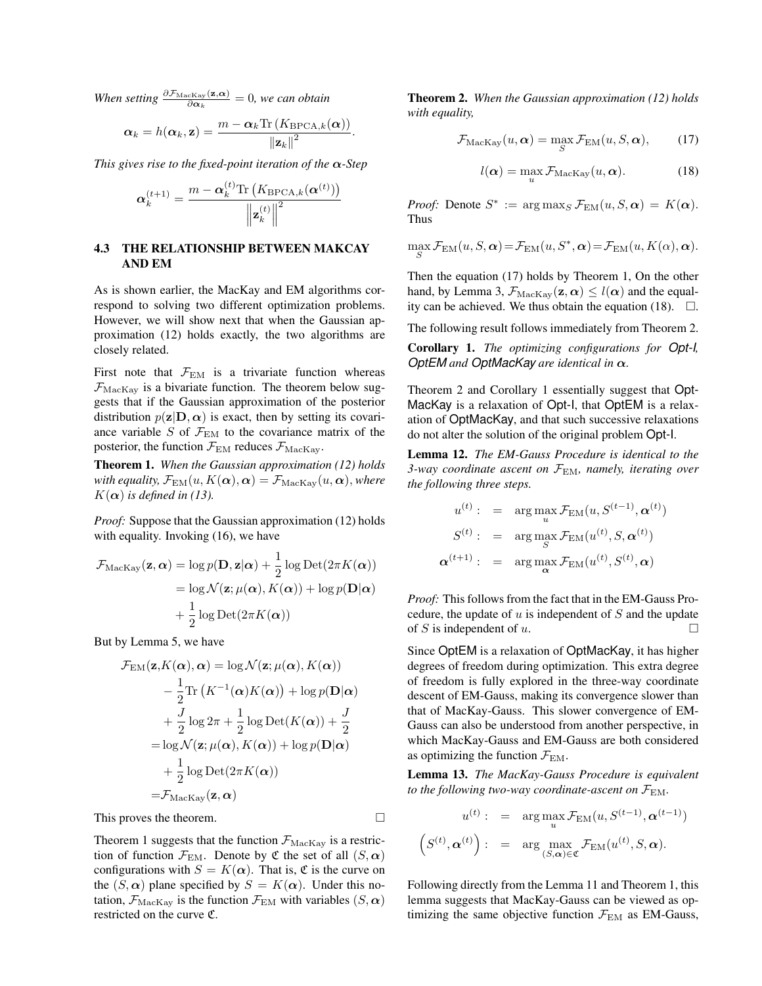*When setting*  $\frac{\partial \mathcal{F}_{\text{MacKay}}(\mathbf{z}, \alpha)}{\partial \alpha_k} = 0$ , we can obtain

$$
\alpha_k = h(\alpha_k, \mathbf{z}) = \frac{m - \alpha_k \text{Tr}\left(K_{\text{BPCA},k}(\alpha)\right)}{\left\|\mathbf{z}_k\right\|^2}.
$$

*This gives rise to the fixed-point iteration of the α-Step*

$$
\boldsymbol{\alpha}^{(t+1)}_k = \frac{m - \boldsymbol{\alpha}^{(t)}_k \text{Tr}\left(K_{\text{BPCA},k}(\boldsymbol{\alpha}^{(t)})\right)}{\left\|\boldsymbol{\mathbf{z}}^{(t)}_k\right\|^2}
$$

### 4.3 THE RELATIONSHIP BETWEEN MAKCAY AND EM

As is shown earlier, the MacKay and EM algorithms correspond to solving two different optimization problems. However, we will show next that when the Gaussian approximation (12) holds exactly, the two algorithms are closely related.

First note that  $\mathcal{F}_{EM}$  is a trivariate function whereas  $\mathcal{F}_{\text{MacKay}}$  is a bivariate function. The theorem below suggests that if the Gaussian approximation of the posterior distribution  $p(\mathbf{z}|\mathbf{D}, \alpha)$  is exact, then by setting its covariance variable *S* of  $\mathcal{F}_{EM}$  to the covariance matrix of the posterior, the function  $\mathcal{F}_{EM}$  reduces  $\mathcal{F}_{MacKay}$ .

Theorem 1. *When the Gaussian approximation (12) holds with equality,*  $\mathcal{F}_{EM}(u, K(\alpha), \alpha) = \mathcal{F}_{MacKav}(u, \alpha)$ *, where*  $K(\alpha)$  *is defined in (13).* 

*Proof:* Suppose that the Gaussian approximation (12) holds with equality. Invoking (16), we have

$$
\mathcal{F}_{\text{MacKay}}(\mathbf{z}, \boldsymbol{\alpha}) = \log p(\mathbf{D}, \mathbf{z} | \boldsymbol{\alpha}) + \frac{1}{2} \log \text{Det}(2\pi K(\boldsymbol{\alpha}))
$$

$$
= \log \mathcal{N}(\mathbf{z}; \mu(\boldsymbol{\alpha}), K(\boldsymbol{\alpha})) + \log p(\mathbf{D} | \boldsymbol{\alpha})
$$

$$
+ \frac{1}{2} \log \text{Det}(2\pi K(\boldsymbol{\alpha}))
$$

But by Lemma 5, we have

$$
\mathcal{F}_{EM}(\mathbf{z}, K(\boldsymbol{\alpha}), \boldsymbol{\alpha}) = \log \mathcal{N}(\mathbf{z}; \mu(\boldsymbol{\alpha}), K(\boldsymbol{\alpha}))
$$
  
\n
$$
- \frac{1}{2} \text{Tr} (K^{-1}(\boldsymbol{\alpha}) K(\boldsymbol{\alpha})) + \log p(\mathbf{D}|\boldsymbol{\alpha})
$$
  
\n
$$
+ \frac{J}{2} \log 2\pi + \frac{1}{2} \log \text{Det}(K(\boldsymbol{\alpha})) + \frac{J}{2}
$$
  
\n
$$
= \log \mathcal{N}(\mathbf{z}; \mu(\boldsymbol{\alpha}), K(\boldsymbol{\alpha})) + \log p(\mathbf{D}|\boldsymbol{\alpha})
$$
  
\n
$$
+ \frac{1}{2} \log \text{Det}(2\pi K(\boldsymbol{\alpha}))
$$
  
\n
$$
= \mathcal{F}_{\text{MacKay}}(\mathbf{z}, \boldsymbol{\alpha})
$$

This proves the theorem.  $\Box$ 

Theorem 1 suggests that the function  $\mathcal{F}_{\text{MacKay}}$  is a restriction of function  $\mathcal{F}_{EM}$ . Denote by  $\mathfrak C$  the set of all  $(S, \alpha)$ configurations with  $S = K(\alpha)$ . That is,  $\mathfrak{C}$  is the curve on the  $(S, \alpha)$  plane specified by  $S = K(\alpha)$ . Under this notation,  $\mathcal{F}_{\text{MacKay}}$  is the function  $\mathcal{F}_{\text{EM}}$  with variables  $(S, \alpha)$ restricted on the curve C.

Theorem 2. *When the Gaussian approximation (12) holds with equality,*

$$
\mathcal{F}_{\text{MacKay}}(u, \boldsymbol{\alpha}) = \max_{S} \mathcal{F}_{\text{EM}}(u, S, \boldsymbol{\alpha}), \qquad (17)
$$

$$
l(\alpha) = \max_{u} \mathcal{F}_{\text{MacKay}}(u, \alpha).
$$
 (18)

*Proof:* Denote  $S^* := \arg \max_S \mathcal{F}_{EM}(u, S, \alpha) = K(\alpha)$ . Thus

$$
\max_{S} \mathcal{F}_{\text{EM}}(u, S, \alpha) = \mathcal{F}_{\text{EM}}(u, S^*, \alpha) = \mathcal{F}_{\text{EM}}(u, K(\alpha), \alpha).
$$

Then the equation (17) holds by Theorem 1, On the other hand, by Lemma 3,  $\mathcal{F}_{\text{MacKay}}(\mathbf{z}, \alpha) \leq l(\alpha)$  and the equality can be achieved. We thus obtain the equation (18).  $\Box$ .

The following result follows immediately from Theorem 2.

Corollary 1. *The optimizing configurations for Opt-I, OptEM and OptMacKay are identical in α.*

Theorem 2 and Corollary 1 essentially suggest that Opt-MacKay is a relaxation of Opt-I, that OptEM is a relaxation of OptMacKay, and that such successive relaxations do not alter the solution of the original problem Opt-I.

Lemma 12. *The EM-Gauss Procedure is identical to the 3-way coordinate ascent on F*EM*, namely, iterating over the following three steps.*

$$
u^{(t)}: = \arg \max_{u} \mathcal{F}_{\text{EM}}(u, S^{(t-1)}, \boldsymbol{\alpha}^{(t)})
$$

$$
S^{(t)}: = \arg \max_{S} \mathcal{F}_{\text{EM}}(u^{(t)}, S, \boldsymbol{\alpha}^{(t)})
$$

$$
\boldsymbol{\alpha}^{(t+1)}: = \arg \max_{\boldsymbol{\alpha}} \mathcal{F}_{\text{EM}}(u^{(t)}, S^{(t)}, \boldsymbol{\alpha})
$$

*Proof:* This follows from the fact that in the EM-Gauss Procedure, the update of *u* is independent of *S* and the update of *S* is independent of *u*.  $\Box$ 

Since OptEM is a relaxation of OptMacKay, it has higher degrees of freedom during optimization. This extra degree of freedom is fully explored in the three-way coordinate descent of EM-Gauss, making its convergence slower than that of MacKay-Gauss. This slower convergence of EM-Gauss can also be understood from another perspective, in which MacKay-Gauss and EM-Gauss are both considered as optimizing the function  $\mathcal{F}_{\text{EM}}$ .

Lemma 13. *The MacKay-Gauss Procedure is equivalent to the following two-way coordinate-ascent on*  $\mathcal{F}_{EM}$ *.* 

$$
u^{(t)}: = \arg \max_{u} \mathcal{F}_{\text{EM}}(u, S^{(t-1)}, \boldsymbol{\alpha}^{(t-1)})
$$

$$
(S^{(t)}, \boldsymbol{\alpha}^{(t)}): = \arg \max_{(S, \boldsymbol{\alpha}) \in \mathfrak{C}} \mathcal{F}_{\text{EM}}(u^{(t)}, S, \boldsymbol{\alpha}).
$$

Following directly from the Lemma 11 and Theorem 1, this lemma suggests that MacKay-Gauss can be viewed as optimizing the same objective function  $\mathcal{F}_{EM}$  as EM-Gauss,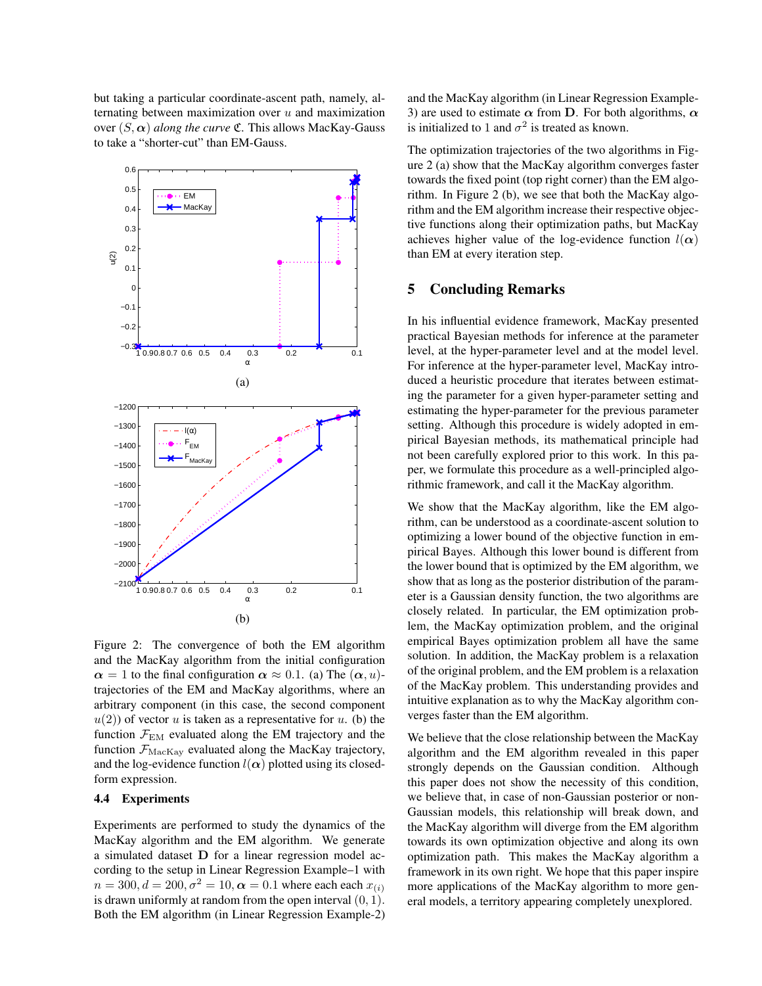but taking a particular coordinate-ascent path, namely, alternating between maximization over *u* and maximization over  $(S, \alpha)$  *along the curve*  $\mathfrak{C}$ . This allows MacKay-Gauss to take a "shorter-cut" than EM-Gauss.



Figure 2: The convergence of both the EM algorithm and the MacKay algorithm from the initial configuration  $\alpha = 1$  to the final configuration  $\alpha \approx 0.1$ . (a) The  $(\alpha, u)$ trajectories of the EM and MacKay algorithms, where an arbitrary component (in this case, the second component  $u(2)$  of vector *u* is taken as a representative for *u*. (b) the function  $\mathcal{F}_{EM}$  evaluated along the EM trajectory and the function  $\mathcal{F}_{\text{MacKay}}$  evaluated along the MacKay trajectory, and the log-evidence function  $l(\alpha)$  plotted using its closedform expression.

### 4.4 Experiments

Experiments are performed to study the dynamics of the MacKay algorithm and the EM algorithm. We generate a simulated dataset **D** for a linear regression model according to the setup in Linear Regression Example–1 with  $n = 300, d = 200, \sigma^2 = 10, \alpha = 0.1$  where each each  $x_{(i)}$ is drawn uniformly at random from the open interval (0*,* 1)*.* Both the EM algorithm (in Linear Regression Example-2) and the MacKay algorithm (in Linear Regression Example-3) are used to estimate  $\alpha$  from **D**. For both algorithms,  $\alpha$ is initialized to 1 and  $\sigma^2$  is treated as known.

The optimization trajectories of the two algorithms in Figure 2 (a) show that the MacKay algorithm converges faster towards the fixed point (top right corner) than the EM algorithm. In Figure 2 (b), we see that both the MacKay algorithm and the EM algorithm increase their respective objective functions along their optimization paths, but MacKay achieves higher value of the log-evidence function  $l(\alpha)$ than EM at every iteration step.

### 5 Concluding Remarks

In his influential evidence framework, MacKay presented practical Bayesian methods for inference at the parameter level, at the hyper-parameter level and at the model level. For inference at the hyper-parameter level, MacKay introduced a heuristic procedure that iterates between estimating the parameter for a given hyper-parameter setting and estimating the hyper-parameter for the previous parameter setting. Although this procedure is widely adopted in empirical Bayesian methods, its mathematical principle had not been carefully explored prior to this work. In this paper, we formulate this procedure as a well-principled algorithmic framework, and call it the MacKay algorithm.

We show that the MacKay algorithm, like the EM algorithm, can be understood as a coordinate-ascent solution to optimizing a lower bound of the objective function in empirical Bayes. Although this lower bound is different from the lower bound that is optimized by the EM algorithm, we show that as long as the posterior distribution of the parameter is a Gaussian density function, the two algorithms are closely related. In particular, the EM optimization problem, the MacKay optimization problem, and the original empirical Bayes optimization problem all have the same solution. In addition, the MacKay problem is a relaxation of the original problem, and the EM problem is a relaxation of the MacKay problem. This understanding provides and intuitive explanation as to why the MacKay algorithm converges faster than the EM algorithm.

We believe that the close relationship between the MacKay algorithm and the EM algorithm revealed in this paper strongly depends on the Gaussian condition. Although this paper does not show the necessity of this condition, we believe that, in case of non-Gaussian posterior or non-Gaussian models, this relationship will break down, and the MacKay algorithm will diverge from the EM algorithm towards its own optimization objective and along its own optimization path. This makes the MacKay algorithm a framework in its own right. We hope that this paper inspire more applications of the MacKay algorithm to more general models, a territory appearing completely unexplored.